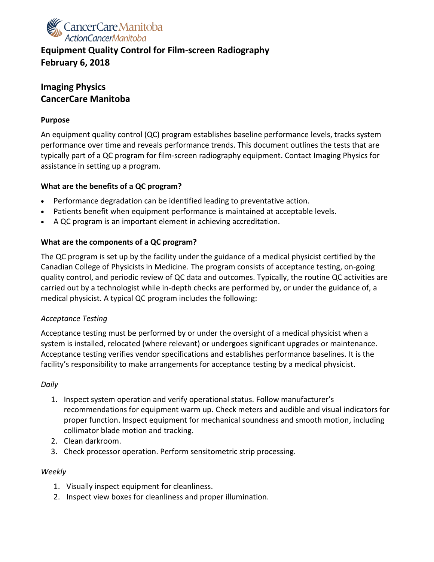

# **Equipment Quality Control for Film-screen Radiography February 6, 2018**

# **Imaging Physics CancerCare Manitoba**

#### **Purpose**

An equipment quality control (QC) program establishes baseline performance levels, tracks system performance over time and reveals performance trends. This document outlines the tests that are typically part of a QC program for film-screen radiography equipment. Contact Imaging Physics for assistance in setting up a program.

## **What are the benefits of a QC program?**

- Performance degradation can be identified leading to preventative action.
- Patients benefit when equipment performance is maintained at acceptable levels.
- A QC program is an important element in achieving accreditation.

## **What are the components of a QC program?**

The QC program is set up by the facility under the guidance of a medical physicist certified by the Canadian College of Physicists in Medicine. The program consists of acceptance testing, on-going quality control, and periodic review of QC data and outcomes. Typically, the routine QC activities are carried out by a technologist while in-depth checks are performed by, or under the guidance of, a medical physicist. A typical QC program includes the following:

## *Acceptance Testing*

Acceptance testing must be performed by or under the oversight of a medical physicist when a system is installed, relocated (where relevant) or undergoes significant upgrades or maintenance. Acceptance testing verifies vendor specifications and establishes performance baselines. It is the facility's responsibility to make arrangements for acceptance testing by a medical physicist.

## *Daily*

- 1. Inspect system operation and verify operational status. Follow manufacturer's recommendations for equipment warm up. Check meters and audible and visual indicators for proper function. Inspect equipment for mechanical soundness and smooth motion, including collimator blade motion and tracking.
- 2. Clean darkroom.
- 3. Check processor operation. Perform sensitometric strip processing.

## *Weekly*

- 1. Visually inspect equipment for cleanliness.
- 2. Inspect view boxes for cleanliness and proper illumination.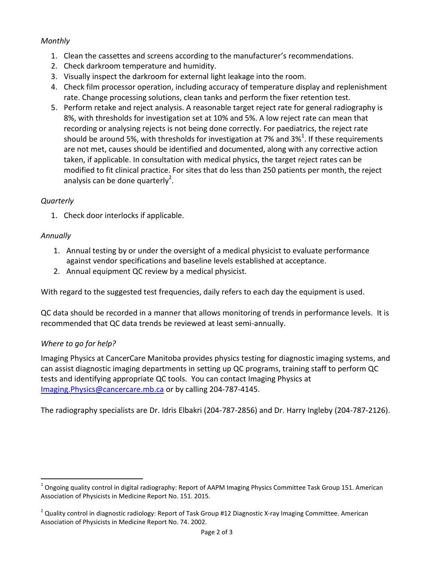## *Monthly*

- 1. Clean the cassettes and screens according to the manufacturer's recommendations.
- 2. Check darkroom temperature and humidity.
- 3. Visually inspect the darkroom for external light leakage into the room.
- 4. Check film processor operation, including accuracy of temperature display and replenishment rate. Change processing solutions, clean tanks and perform the fixer retention test.
- 5. Perform retake and reject analysis. A reasonable target reject rate for general radiography is 8%, with thresholds for investigation set at 10% and 5%. A low reject rate can mean that recording or analysing rejects is not being done correctly. For paediatrics, the reject rate should be around 5%, with thresholds for investigation at 7% and 3%<sup>1</sup>. If these requirements are not met, causes should be identified and documented, along with any corrective action taken, if applicable. In consultation with medical physics, the target reject rates can be modified to fit clinical practice. For sites that do less than 250 patients per month, the reject analysis can be done quarterly<sup>2</sup>.

#### *Quarterly*

1. Check door interlocks if applicable.

#### *Annually*

 $\overline{a}$ 

- 1. Annual testing by or under the oversight of a medical physicist to evaluate performance against vendor specifications and baseline levels established at acceptance.
- 2. Annual equipment QC review by a medical physicist.

With regard to the suggested test frequencies, daily refers to each day the equipment is used.

QC data should be recorded in a manner that allows monitoring of trends in performance levels. It is recommended that QC data trends be reviewed at least semi-annually.

## *Where to go for help?*

Imaging Physics at CancerCare Manitoba provides physics testing for diagnostic imaging systems, and can assist diagnostic imaging departments in setting up QC programs, training staff to perform QC tests and identifying appropriate QC tools. You can contact Imaging Physics at [Imaging.Physics@cancercare.mb.ca](mailto:Imaging.Physics@cancercare.mb.ca) or by calling 204-787-4145.

The radiography specialists are Dr. Idris Elbakri (204-787-2856) and Dr. Harry Ingleby (204-787-2126).

 $^1$  Ongoing quality control in digital radiography: Report of AAPM Imaging Physics Committee Task Group 151. American Association of Physicists in Medicine Report No. 151. 2015.

 $^2$  Quality control in diagnostic radiology: Report of Task Group #12 Diagnostic X-ray Imaging Committee. American Association of Physicists in Medicine Report No. 74. 2002.